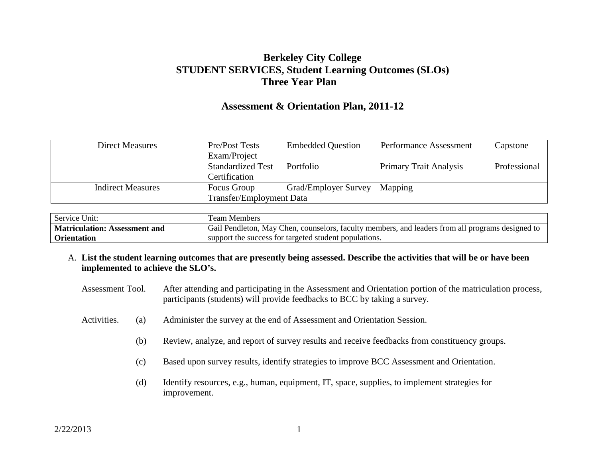# **Berkeley City College STUDENT SERVICES, Student Learning Outcomes (SLOs) Three Year Plan**

# **Assessment & Orientation Plan, 2011-12**

| <b>Direct Measures</b>   | Pre/Post Tests                  | <b>Embedded Question</b> | Performance Assessment        | Capstone     |
|--------------------------|---------------------------------|--------------------------|-------------------------------|--------------|
|                          | Exam/Project                    |                          |                               |              |
|                          | <b>Standardized Test</b>        | Portfolio                | <b>Primary Trait Analysis</b> | Professional |
|                          | Certification                   |                          |                               |              |
| <b>Indirect Measures</b> | Focus Group                     | Grad/Employer Survey     | Mapping                       |              |
|                          | <b>Transfer/Employment Data</b> |                          |                               |              |

| Service Unit:                        | Team Members                                                                                     |
|--------------------------------------|--------------------------------------------------------------------------------------------------|
| <b>Matriculation: Assessment and</b> | Gail Pendleton, May Chen, counselors, faculty members, and leaders from all programs designed to |
| <b>Orientation</b>                   | support the success for targeted student populations.                                            |

- A. **List the student learning outcomes that are presently being assessed. Describe the activities that will be or have been implemented to achieve the SLO's.** 
	- Assessment Tool. After attending and participating in the Assessment and Orientation portion of the matriculation process, participants (students) will provide feedbacks to BCC by taking a survey.
	- Activities. (a) Administer the survey at the end of Assessment and Orientation Session.
		- (b) Review, analyze, and report of survey results and receive feedbacks from constituency groups.
		- (c) Based upon survey results, identify strategies to improve BCC Assessment and Orientation.
		- (d) Identify resources, e.g., human, equipment, IT, space, supplies, to implement strategies for improvement.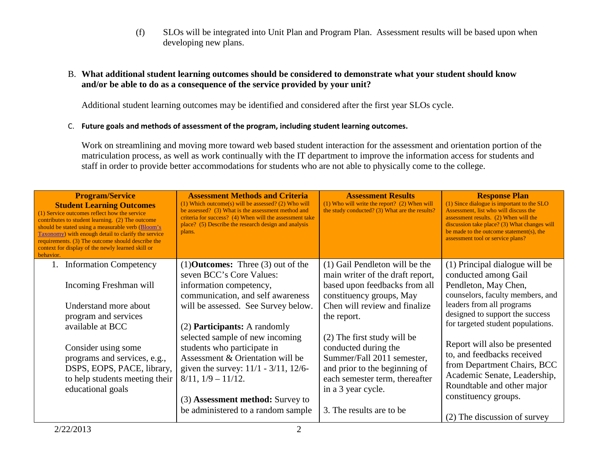(f) SLOs will be integrated into Unit Plan and Program Plan. Assessment results will be based upon when developing new plans.

## B. **What additional student learning outcomes should be considered to demonstrate what your student should know and/or be able to do as a consequence of the service provided by your unit?**

Additional student learning outcomes may be identified and considered after the first year SLOs cycle.

### C. **Future goals and methods of assessment of the program, including student learning outcomes.**

Work on streamlining and moving more toward web based student interaction for the assessment and orientation portion of the matriculation process, as well as work continually with the IT department to improve the information access for students and staff in order to provide better accommodations for students who are not able to physically come to the college.

| should be stated using a measurable verb (Bloom's<br>plans.<br>Taxonomy) with enough detail to clarify the service<br>requirements. (3) The outcome should describe the<br>context for display of the newly learned skill or<br>behavior. |                                                                                                                                                                                                                                                               |                                                                                                                                                                                                         | discussion take place? (3) What changes will<br>be made to the outcome statement(s), the<br>assessment tool or service plans?                                                                                    |
|-------------------------------------------------------------------------------------------------------------------------------------------------------------------------------------------------------------------------------------------|---------------------------------------------------------------------------------------------------------------------------------------------------------------------------------------------------------------------------------------------------------------|---------------------------------------------------------------------------------------------------------------------------------------------------------------------------------------------------------|------------------------------------------------------------------------------------------------------------------------------------------------------------------------------------------------------------------|
| <b>Information Competency</b><br>Incoming Freshman will                                                                                                                                                                                   | $(1)$ <b>Outcomes:</b> Three $(3)$ out of the<br>seven BCC's Core Values:<br>information competency,<br>communication, and self awareness                                                                                                                     | (1) Gail Pendleton will be the<br>main writer of the draft report,<br>based upon feedbacks from all<br>constituency groups, May                                                                         | (1) Principal dialogue will be<br>conducted among Gail<br>Pendleton, May Chen,<br>counselors, faculty members, and                                                                                               |
| Understand more about<br>program and services<br>available at BCC                                                                                                                                                                         | will be assessed. See Survey below.<br>(2) <b>Participants:</b> A randomly                                                                                                                                                                                    | Chen will review and finalize<br>the report.                                                                                                                                                            | leaders from all programs<br>designed to support the success<br>for targeted student populations.                                                                                                                |
| Consider using some<br>programs and services, e.g.,<br>DSPS, EOPS, PACE, library,<br>to help students meeting their<br>educational goals                                                                                                  | selected sample of new incoming<br>students who participate in<br>Assessment & Orientation will be<br>given the survey: $11/1 - 3/11$ , $12/6$ -<br>$8/11$ , $1/9 - 11/12$ .<br>(3) <b>Assessment method:</b> Survey to<br>be administered to a random sample | (2) The first study will be<br>conducted during the<br>Summer/Fall 2011 semester,<br>and prior to the beginning of<br>each semester term, thereafter<br>in a 3 year cycle.<br>3. The results are to be. | Report will also be presented<br>to, and feedbacks received<br>from Department Chairs, BCC<br>Academic Senate, Leadership,<br>Roundtable and other major<br>constituency groups.<br>(2) The discussion of survey |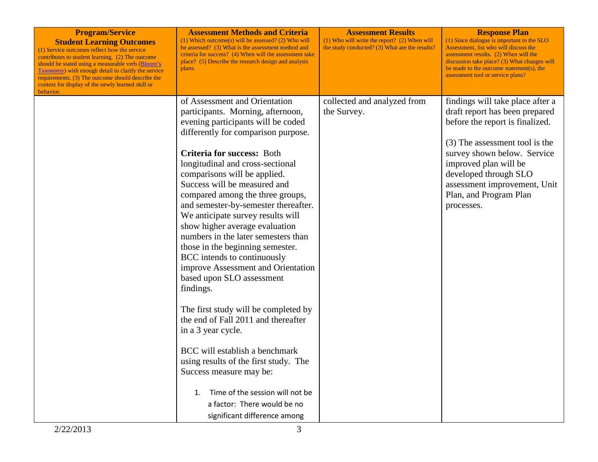| <b>Program/Service</b><br><b>Student Learning Outcomes</b><br>(1) Service outcomes reflect how the service<br>contributes to student learning. (2) The outcome<br>should be stated using a measurable verb (Bloom's<br>Taxonomy) with enough detail to clarify the service<br>requirements. (3) The outcome should describe the<br>context for display of the newly learned skill or<br>behavior. | <b>Assessment Methods and Criteria</b><br>$(1)$ Which outcome(s) will be assessed? (2) Who will<br>be assessed? (3) What is the assessment method and<br>criteria for success? (4) When will the assessment take<br>place? (5) Describe the research design and analysis<br>plans.                                                                                                                                                                                                                                                                                                                                                                                                                                                                                                                                                                                                                                                                                   | <b>Assessment Results</b><br>$(1)$ Who will write the report? $(2)$ When will<br>the study conducted? (3) What are the results? | <b>Response Plan</b><br>(1) Since dialogue is important to the SLO<br>Assessment, list who will discuss the<br>assessment results. (2) When will the<br>discussion take place? (3) What changes will<br>be made to the outcome statement(s), the<br>assessment tool or service plans?            |
|---------------------------------------------------------------------------------------------------------------------------------------------------------------------------------------------------------------------------------------------------------------------------------------------------------------------------------------------------------------------------------------------------|----------------------------------------------------------------------------------------------------------------------------------------------------------------------------------------------------------------------------------------------------------------------------------------------------------------------------------------------------------------------------------------------------------------------------------------------------------------------------------------------------------------------------------------------------------------------------------------------------------------------------------------------------------------------------------------------------------------------------------------------------------------------------------------------------------------------------------------------------------------------------------------------------------------------------------------------------------------------|---------------------------------------------------------------------------------------------------------------------------------|--------------------------------------------------------------------------------------------------------------------------------------------------------------------------------------------------------------------------------------------------------------------------------------------------|
|                                                                                                                                                                                                                                                                                                                                                                                                   | of Assessment and Orientation<br>participants. Morning, afternoon,<br>evening participants will be coded<br>differently for comparison purpose.<br><b>Criteria for success: Both</b><br>longitudinal and cross-sectional<br>comparisons will be applied.<br>Success will be measured and<br>compared among the three groups,<br>and semester-by-semester thereafter.<br>We anticipate survey results will<br>show higher average evaluation<br>numbers in the later semesters than<br>those in the beginning semester.<br>BCC intends to continuously<br>improve Assessment and Orientation<br>based upon SLO assessment<br>findings.<br>The first study will be completed by<br>the end of Fall 2011 and thereafter<br>in a 3 year cycle.<br>BCC will establish a benchmark<br>using results of the first study. The<br>Success measure may be:<br>Time of the session will not be<br>$\mathbf{1}$ .<br>a factor: There would be no<br>significant difference among | collected and analyzed from<br>the Survey.                                                                                      | findings will take place after a<br>draft report has been prepared<br>before the report is finalized.<br>(3) The assessment tool is the<br>survey shown below. Service<br>improved plan will be<br>developed through SLO<br>assessment improvement, Unit<br>Plan, and Program Plan<br>processes. |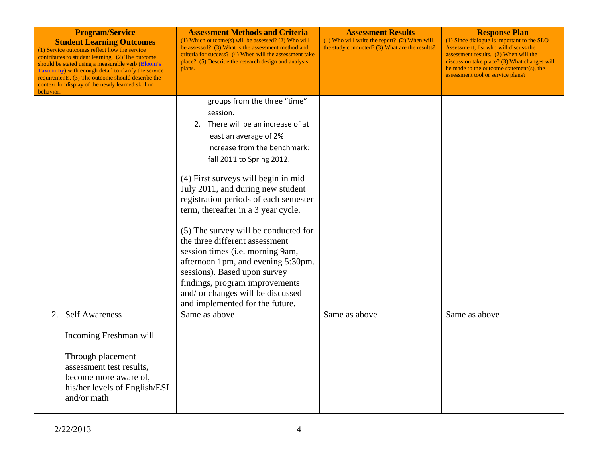| <b>Program/Service</b><br><b>Student Learning Outcomes</b><br>(1) Service outcomes reflect how the service<br>contributes to student learning. (2) The outcome<br>should be stated using a measurable verb (Bloom's<br><b>Taxonomy</b> ) with enough detail to clarify the service<br>requirements. (3) The outcome should describe the<br>context for display of the newly learned skill or<br>behavior. | <b>Assessment Methods and Criteria</b><br>$(1)$ Which outcome(s) will be assessed? (2) Who will<br>be assessed? (3) What is the assessment method and<br>criteria for success? (4) When will the assessment take<br>place? (5) Describe the research design and analysis<br>plans. | <b>Assessment Results</b><br>$(1)$ Who will write the report? $(2)$ When will<br>the study conducted? (3) What are the results? | <b>Response Plan</b><br>(1) Since dialogue is important to the SLO<br>Assessment, list who will discuss the<br>assessment results. (2) When will the<br>discussion take place? (3) What changes will<br>be made to the outcome statement(s), the<br>assessment tool or service plans? |
|-----------------------------------------------------------------------------------------------------------------------------------------------------------------------------------------------------------------------------------------------------------------------------------------------------------------------------------------------------------------------------------------------------------|------------------------------------------------------------------------------------------------------------------------------------------------------------------------------------------------------------------------------------------------------------------------------------|---------------------------------------------------------------------------------------------------------------------------------|---------------------------------------------------------------------------------------------------------------------------------------------------------------------------------------------------------------------------------------------------------------------------------------|
|                                                                                                                                                                                                                                                                                                                                                                                                           | groups from the three "time"                                                                                                                                                                                                                                                       |                                                                                                                                 |                                                                                                                                                                                                                                                                                       |
|                                                                                                                                                                                                                                                                                                                                                                                                           | session.                                                                                                                                                                                                                                                                           |                                                                                                                                 |                                                                                                                                                                                                                                                                                       |
|                                                                                                                                                                                                                                                                                                                                                                                                           | 2. There will be an increase of at                                                                                                                                                                                                                                                 |                                                                                                                                 |                                                                                                                                                                                                                                                                                       |
|                                                                                                                                                                                                                                                                                                                                                                                                           | least an average of 2%                                                                                                                                                                                                                                                             |                                                                                                                                 |                                                                                                                                                                                                                                                                                       |
|                                                                                                                                                                                                                                                                                                                                                                                                           | increase from the benchmark:                                                                                                                                                                                                                                                       |                                                                                                                                 |                                                                                                                                                                                                                                                                                       |
|                                                                                                                                                                                                                                                                                                                                                                                                           | fall 2011 to Spring 2012.                                                                                                                                                                                                                                                          |                                                                                                                                 |                                                                                                                                                                                                                                                                                       |
|                                                                                                                                                                                                                                                                                                                                                                                                           | (4) First surveys will begin in mid<br>July 2011, and during new student<br>registration periods of each semester<br>term, thereafter in a 3 year cycle.                                                                                                                           |                                                                                                                                 |                                                                                                                                                                                                                                                                                       |
|                                                                                                                                                                                                                                                                                                                                                                                                           | (5) The survey will be conducted for<br>the three different assessment                                                                                                                                                                                                             |                                                                                                                                 |                                                                                                                                                                                                                                                                                       |
|                                                                                                                                                                                                                                                                                                                                                                                                           | session times (i.e. morning 9am,<br>afternoon 1pm, and evening 5:30pm.<br>sessions). Based upon survey                                                                                                                                                                             |                                                                                                                                 |                                                                                                                                                                                                                                                                                       |
|                                                                                                                                                                                                                                                                                                                                                                                                           | findings, program improvements                                                                                                                                                                                                                                                     |                                                                                                                                 |                                                                                                                                                                                                                                                                                       |
|                                                                                                                                                                                                                                                                                                                                                                                                           | and/ or changes will be discussed<br>and implemented for the future.                                                                                                                                                                                                               |                                                                                                                                 |                                                                                                                                                                                                                                                                                       |
| <b>Self Awareness</b><br>2.                                                                                                                                                                                                                                                                                                                                                                               | Same as above                                                                                                                                                                                                                                                                      | Same as above                                                                                                                   | Same as above                                                                                                                                                                                                                                                                         |
| Incoming Freshman will                                                                                                                                                                                                                                                                                                                                                                                    |                                                                                                                                                                                                                                                                                    |                                                                                                                                 |                                                                                                                                                                                                                                                                                       |
| Through placement<br>assessment test results,<br>become more aware of,<br>his/her levels of English/ESL<br>and/or math                                                                                                                                                                                                                                                                                    |                                                                                                                                                                                                                                                                                    |                                                                                                                                 |                                                                                                                                                                                                                                                                                       |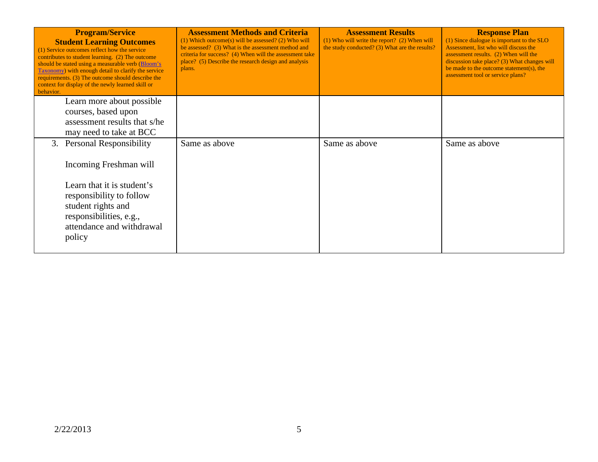| <b>Program/Service</b><br><b>Student Learning Outcomes</b><br>(1) Service outcomes reflect how the service<br>contributes to student learning. (2) The outcome<br>should be stated using a measurable verb (Bloom's<br>Taxonomy) with enough detail to clarify the service<br>requirements. (3) The outcome should describe the<br>context for display of the newly learned skill or<br>behavior. | <b>Assessment Methods and Criteria</b><br>$(1)$ Which outcome(s) will be assessed? (2) Who will<br>be assessed? (3) What is the assessment method and<br>criteria for success? (4) When will the assessment take<br>place? (5) Describe the research design and analysis<br>plans. | <b>Assessment Results</b><br>$(1)$ Who will write the report? $(2)$ When will<br>the study conducted? (3) What are the results? | <b>Response Plan</b><br>(1) Since dialogue is important to the SLO<br>Assessment, list who will discuss the<br>assessment results. (2) When will the<br>discussion take place? (3) What changes will<br>be made to the outcome statement(s), the<br>assessment tool or service plans? |
|---------------------------------------------------------------------------------------------------------------------------------------------------------------------------------------------------------------------------------------------------------------------------------------------------------------------------------------------------------------------------------------------------|------------------------------------------------------------------------------------------------------------------------------------------------------------------------------------------------------------------------------------------------------------------------------------|---------------------------------------------------------------------------------------------------------------------------------|---------------------------------------------------------------------------------------------------------------------------------------------------------------------------------------------------------------------------------------------------------------------------------------|
| Learn more about possible<br>courses, based upon<br>assessment results that s/he<br>may need to take at BCC                                                                                                                                                                                                                                                                                       |                                                                                                                                                                                                                                                                                    |                                                                                                                                 |                                                                                                                                                                                                                                                                                       |
| 3. Personal Responsibility<br>Incoming Freshman will                                                                                                                                                                                                                                                                                                                                              | Same as above                                                                                                                                                                                                                                                                      | Same as above                                                                                                                   | Same as above                                                                                                                                                                                                                                                                         |
| Learn that it is student's<br>responsibility to follow<br>student rights and<br>responsibilities, e.g.,<br>attendance and withdrawal<br>policy                                                                                                                                                                                                                                                    |                                                                                                                                                                                                                                                                                    |                                                                                                                                 |                                                                                                                                                                                                                                                                                       |